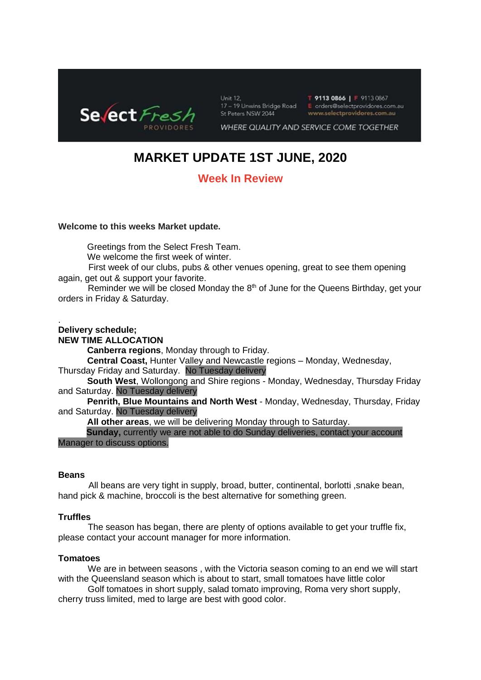

Unit 12. 17 - 19 Unwins Bridge Road St Peters NSW 2044

T 9113 0866 | F 9113 0867 E orders@selectprovidores.com.au www.selectprovidores.com.au

WHERE QUALITY AND SERVICE COME TOGETHER

# **MARKET UPDATE 1ST JUNE, 2020**

# **Week In Review**

### **Welcome to this weeks Market update.**

Greetings from the Select Fresh Team.

We welcome the first week of winter.

 First week of our clubs, pubs & other venues opening, great to see them opening again, get out & support your favorite.

Reminder we will be closed Monday the  $8<sup>th</sup>$  of June for the Queens Birthday, get your orders in Friday & Saturday.

#### . **Delivery schedule;**

### **NEW TIME ALLOCATION**

**Canberra regions**, Monday through to Friday.

**Central Coast,** Hunter Valley and Newcastle regions – Monday, Wednesday, Thursday Friday and Saturday. No Tuesday delivery

**South West**, Wollongong and Shire regions - Monday, Wednesday, Thursday Friday and Saturday. No Tuesday delivery

**Penrith, Blue Mountains and North West** - Monday, Wednesday, Thursday, Friday and Saturday. No Tuesday delivery

**All other areas**, we will be delivering Monday through to Saturday.

 **Sunday,** currently we are not able to do Sunday deliveries, contact your account Manager to discuss options.

### **Beans**

 All beans are very tight in supply, broad, butter, continental, borlotti ,snake bean, hand pick & machine, broccoli is the best alternative for something green.

### **Truffles**

The season has began, there are plenty of options available to get your truffle fix, please contact your account manager for more information.

### **Tomatoes**

We are in between seasons , with the Victoria season coming to an end we will start with the Queensland season which is about to start, small tomatoes have little color

 Golf tomatoes in short supply, salad tomato improving, Roma very short supply, cherry truss limited, med to large are best with good color.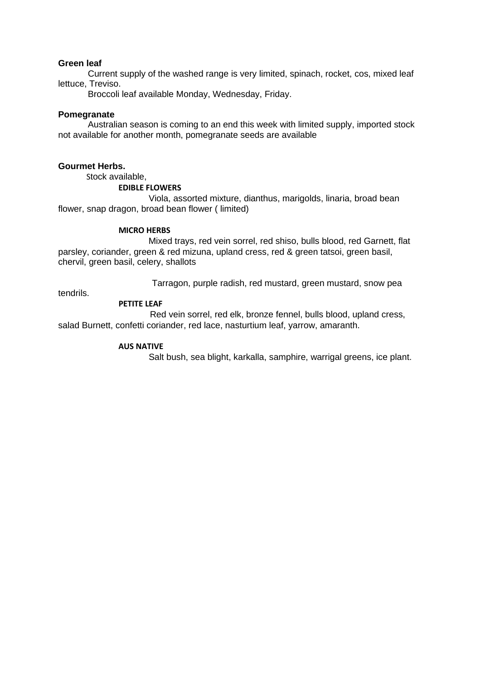### **Green leaf**

Current supply of the washed range is very limited, spinach, rocket, cos, mixed leaf lettuce, Treviso.

Broccoli leaf available Monday, Wednesday, Friday.

### **Pomegranate**

 Australian season is coming to an end this week with limited supply, imported stock not available for another month, pomegranate seeds are available

### **Gourmet Herbs.**

Stock available,

### **EDIBLE FLOWERS**

 Viola, assorted mixture, dianthus, marigolds, linaria, broad bean flower, snap dragon, broad bean flower ( limited)

### **MICRO HERBS**

 Mixed trays, red vein sorrel, red shiso, bulls blood, red Garnett, flat parsley, coriander, green & red mizuna, upland cress, red & green tatsoi, green basil, chervil, green basil, celery, shallots

Tarragon, purple radish, red mustard, green mustard, snow pea

tendrils.

### **PETITE LEAF**

 Red vein sorrel, red elk, bronze fennel, bulls blood, upland cress, salad Burnett, confetti coriander, red lace, nasturtium leaf, yarrow, amaranth.

### **AUS NATIVE**

Salt bush, sea blight, karkalla, samphire, warrigal greens, ice plant.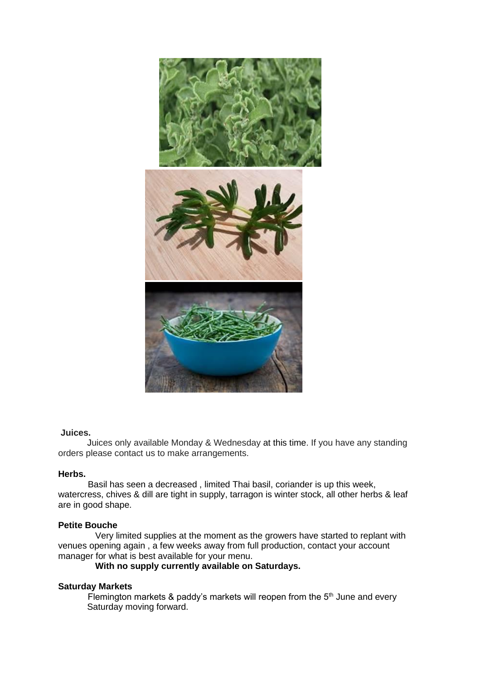

### **Juices.**

Juices only available Monday & Wednesday at this time. If you have any standing orders please contact us to make arrangements.

### **Herbs.**

 Basil has seen a decreased , limited Thai basil, coriander is up this week, watercress, chives & dill are tight in supply, tarragon is winter stock, all other herbs & leaf are in good shape.

### **Petite Bouche**

 Very limited supplies at the moment as the growers have started to replant with venues opening again , a few weeks away from full production, contact your account manager for what is best available for your menu.

### **With no supply currently available on Saturdays.**

### **Saturday Markets**

Flemington markets  $\&$  paddy's markets will reopen from the  $5<sup>th</sup>$  June and every Saturday moving forward.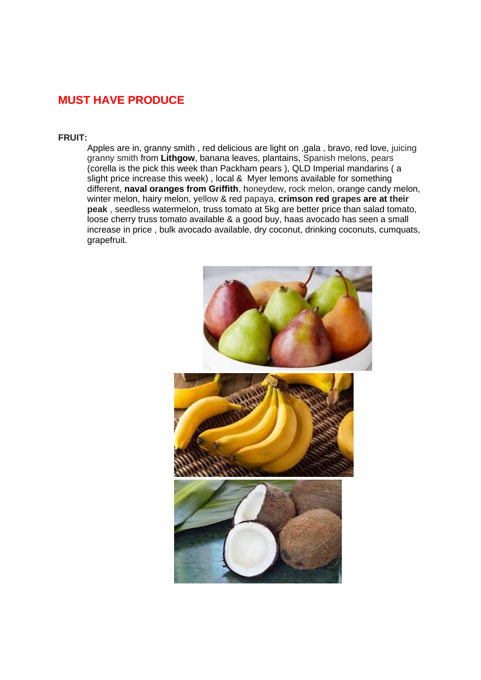# **MUST HAVE PRODUCE**

### **FRUIT:**

Apples are in, granny smith , red delicious are light on ,gala , bravo, red love, juicing granny smith from **Lithgow**, banana leaves, plantains, Spanish melons, pears (corella is the pick this week than Packham pears ), QLD Imperial mandarins ( a slight price increase this week) , local & Myer lemons available for something different, **naval oranges from Griffith**, honeydew, rock melon, orange candy melon, winter melon, hairy melon, yellow & red papaya, **crimson red grapes are at their peak** , seedless watermelon, truss tomato at 5kg are better price than salad tomato, loose cherry truss tomato available & a good buy, haas avocado has seen a small increase in price , bulk avocado available, dry coconut, drinking coconuts, cumquats, grapefruit.

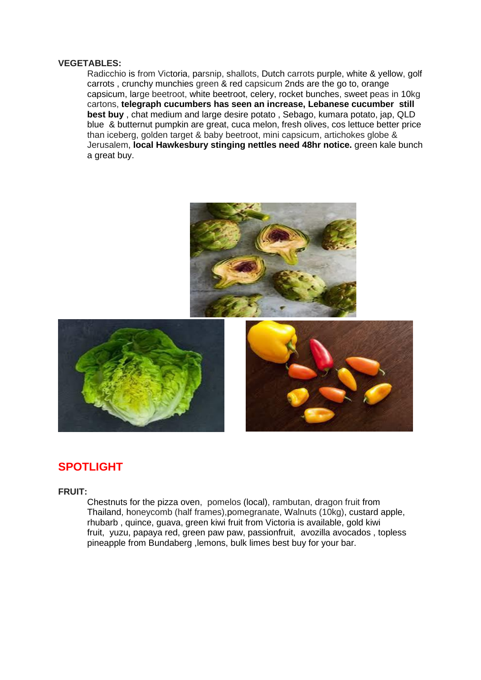### **VEGETABLES:**

Radicchio is from Victoria, parsnip, shallots, Dutch carrots purple, white & yellow, golf carrots , crunchy munchies green & red capsicum 2nds are the go to, orange capsicum, large beetroot, white beetroot, celery, rocket bunches, sweet peas in 10kg cartons, **telegraph cucumbers has seen an increase, Lebanese cucumber still best buy** , chat medium and large desire potato , Sebago, kumara potato, jap, QLD blue & butternut pumpkin are great, cuca melon, fresh olives, cos lettuce better price than iceberg, golden target & baby beetroot, mini capsicum, artichokes globe & Jerusalem, **local Hawkesbury stinging nettles need 48hr notice.** green kale bunch a great buy.







## **SPOTLIGHT**

### **FRUIT:**

Chestnuts for the pizza oven, pomelos (local), rambutan, dragon fruit from Thailand, honeycomb (half frames),pomegranate, Walnuts (10kg), custard apple, rhubarb , quince, guava, green kiwi fruit from Victoria is available, gold kiwi fruit, yuzu, papaya red, green paw paw, passionfruit, avozilla avocados , topless pineapple from Bundaberg ,lemons, bulk limes best buy for your bar.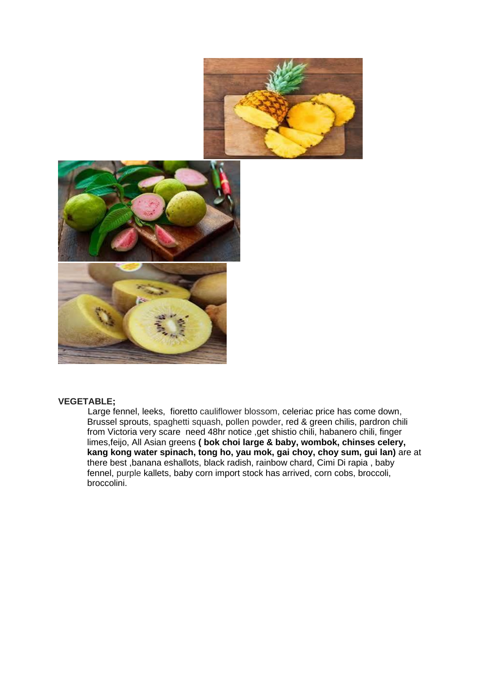



### **VEGETABLE;**

Large fennel, leeks, fioretto cauliflower blossom, celeriac price has come down, Brussel sprouts, spaghetti squash, pollen powder, red & green chilis, pardron chili from Victoria very scare need 48hr notice ,get shistio chili, habanero chili, finger limes,feijo, All Asian greens **( bok choi large & baby, wombok, chinses celery, kang kong water spinach, tong ho, yau mok, gai choy, choy sum, gui lan)** are at there best ,banana eshallots, black radish, rainbow chard, Cimi Di rapia , baby fennel, purple kallets, baby corn import stock has arrived, corn cobs, broccoli, broccolini.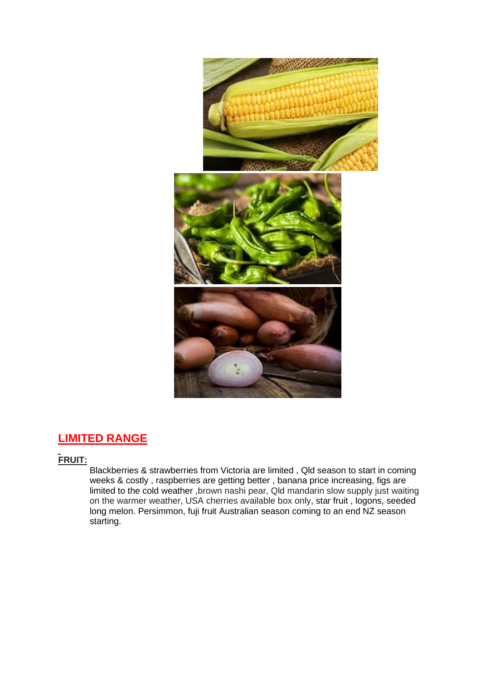

# **LIMITED RANGE**

# **FRUIT:**

Blackberries & strawberries from Victoria are limited , Qld season to start in coming weeks & costly, raspberries are getting better, banana price increasing, figs are limited to the cold weather ,brown nashi pear, Qld mandarin slow supply just waiting on the warmer weather, USA cherries available box only, star fruit , logons, seeded long melon. Persimmon, fuji fruit Australian season coming to an end NZ season starting.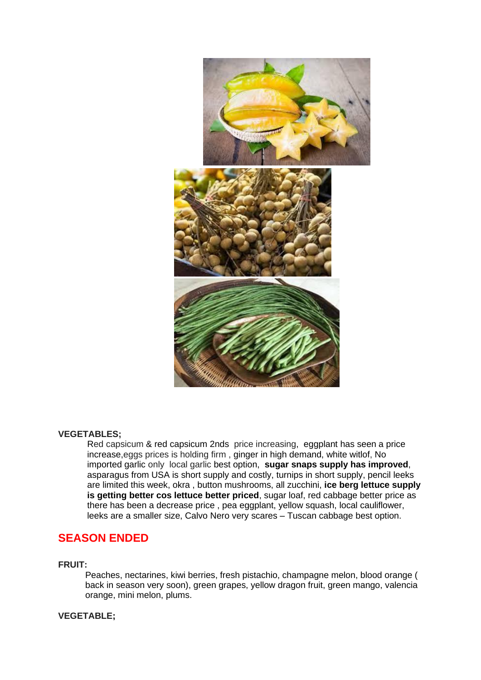

### **VEGETABLES;**

Red capsicum & red capsicum 2nds price increasing, eggplant has seen a price increase,eggs prices is holding firm , ginger in high demand, white witlof, No imported garlic only local garlic best option, **sugar snaps supply has improved**, asparagus from USA is short supply and costly, turnips in short supply, pencil leeks are limited this week, okra , button mushrooms, all zucchini, **ice berg lettuce supply is getting better cos lettuce better priced**, sugar loaf, red cabbage better price as there has been a decrease price , pea eggplant, yellow squash, local cauliflower, leeks are a smaller size, Calvo Nero very scares – Tuscan cabbage best option.

# **SEASON ENDED**

### **FRUIT:**

Peaches, nectarines, kiwi berries, fresh pistachio, champagne melon, blood orange ( back in season very soon), green grapes, yellow dragon fruit, green mango, valencia orange, mini melon, plums.

### **VEGETABLE;**